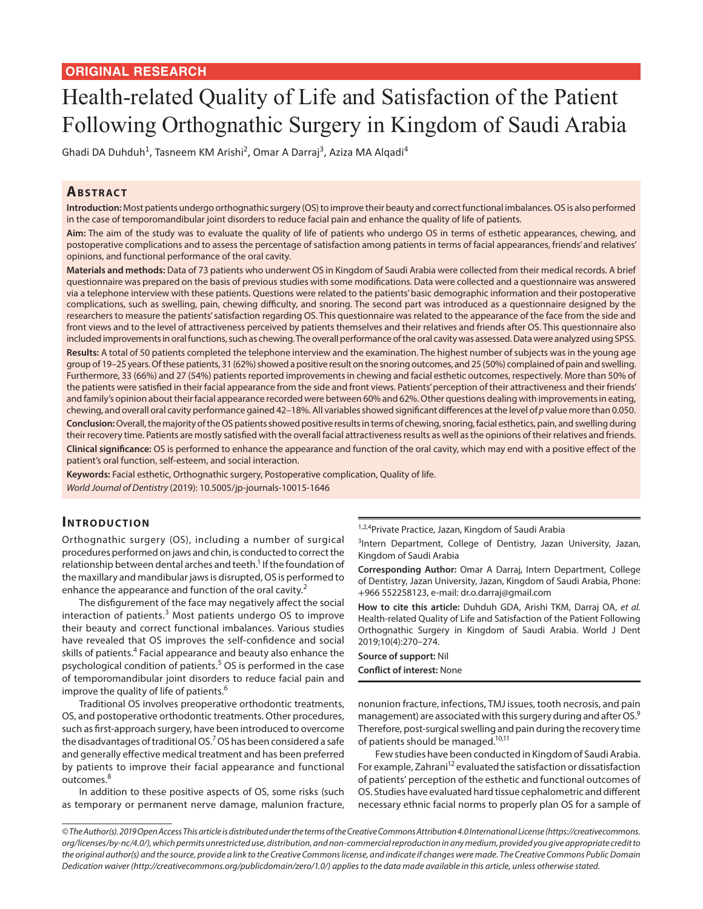## **ORIGINAL RESEARCH**

# Health-related Quality of Life and Satisfaction of the Patient Following Orthognathic Surgery in Kingdom of Saudi Arabia

Ghadi DA Duhduh<sup>1</sup>, Tasneem KM Arishi<sup>2</sup>, Omar A Darraj<sup>3</sup>, Aziza MA Alqadi<sup>4</sup>

# **ABSTRACT**

**Introduction:** Most patients undergo orthognathic surgery (OS) to improve their beauty and correct functional imbalances. OS is also performed in the case of temporomandibular joint disorders to reduce facial pain and enhance the quality of life of patients.

**Aim:** The aim of the study was to evaluate the quality of life of patients who undergo OS in terms of esthetic appearances, chewing, and postoperative complications and to assess the percentage of satisfaction among patients in terms of facial appearances, friends' and relatives' opinions, and functional performance of the oral cavity.

**Materials and methods:** Data of 73 patients who underwent OS in Kingdom of Saudi Arabia were collected from their medical records. A brief questionnaire was prepared on the basis of previous studies with some modifications. Data were collected and a questionnaire was answered via a telephone interview with these patients. Questions were related to the patients' basic demographic information and their postoperative complications, such as swelling, pain, chewing difficulty, and snoring. The second part was introduced as a questionnaire designed by the researchers to measure the patients' satisfaction regarding OS. This questionnaire was related to the appearance of the face from the side and front views and to the level of attractiveness perceived by patients themselves and their relatives and friends after OS. This questionnaire also included improvements in oral functions, such as chewing. The overall performance of the oral cavity was assessed. Data were analyzed using SPSS.

**Results:** A total of 50 patients completed the telephone interview and the examination. The highest number of subjects was in the young age group of 19–25 years. Of these patients, 31 (62%) showed a positive result on the snoring outcomes, and 25 (50%) complained of pain and swelling. Furthermore, 33 (66%) and 27 (54%) patients reported improvements in chewing and facial esthetic outcomes, respectively. More than 50% of the patients were satisfied in their facial appearance from the side and front views. Patients' perception of their attractiveness and their friends' and family's opinion about their facial appearance recorded were between 60% and 62%. Other questions dealing with improvements in eating, chewing, and overall oral cavity performance gained 42–18%. All variables showed significant differences at the level of *p* value more than 0.050.

**Conclusion:** Overall, the majority of the OS patients showed positive results in terms of chewing, snoring, facial esthetics, pain, and swelling during their recovery time. Patients are mostly satisfied with the overall facial attractiveness results as well as the opinions of their relatives and friends. **Clinical significance:** OS is performed to enhance the appearance and function of the oral cavity, which may end with a positive effect of the patient's oral function, self-esteem, and social interaction.

**Keywords:** Facial esthetic, Orthognathic surgery, Postoperative complication, Quality of life. *World Journal of Dentistry* (2019): 10.5005/jp-journals-10015-1646

## **INTRODUCTION**

Orthognathic surgery (OS), including a number of surgical procedures performed on jaws and chin, is conducted to correct the relationship between dental arches and teeth.<sup>1</sup> If the foundation of the maxillary and mandibular jaws is disrupted, OS is performed to enhance the appearance and function of the oral cavity.<sup>2</sup>

The disfigurement of the face may negatively affect the social interaction of patients. $3$  Most patients undergo OS to improve their beauty and correct functional imbalances. Various studies have revealed that OS improves the self-confidence and social skills of patients.<sup>4</sup> Facial appearance and beauty also enhance the psychological condition of patients.<sup>5</sup> OS is performed in the case of temporomandibular joint disorders to reduce facial pain and improve the quality of life of patients.<sup>6</sup>

Traditional OS involves preoperative orthodontic treatments, OS, and postoperative orthodontic treatments. Other procedures, such as first-approach surgery, have been introduced to overcome the disadvantages of traditional OS.<sup>7</sup> OS has been considered a safe and generally effective medical treatment and has been preferred by patients to improve their facial appearance and functional outcomes.<sup>8</sup>

In addition to these positive aspects of OS, some risks (such as temporary or permanent nerve damage, malunion fracture,

<sup>1,2,4</sup>Private Practice, Jazan, Kingdom of Saudi Arabia

<sup>3</sup>Intern Department, College of Dentistry, Jazan University, Jazan, Kingdom of Saudi Arabia

**Corresponding Author:** Omar A Darraj, Intern Department, College of Dentistry, Jazan University, Jazan, Kingdom of Saudi Arabia, Phone: +966 552258123, e-mail: dr.o.darraj@gmail.com

**How to cite this article:** Duhduh GDA, Arishi TKM, Darraj OA, *et al.* Health-related Quality of Life and Satisfaction of the Patient Following Orthognathic Surgery in Kingdom of Saudi Arabia. World J Dent 2019;10(4):270–274.

**Source of support:** Nil **Conflict of interest:** None

nonunion fracture, infections, TMJ issues, tooth necrosis, and pain management) are associated with this surgery during and after OS.<sup>9</sup> Therefore, post-surgical swelling and pain during the recovery time of patients should be managed.<sup>10,11</sup>

Few studies have been conducted in Kingdom of Saudi Arabia. For example, Zahrani<sup>12</sup> evaluated the satisfaction or dissatisfaction of patients' perception of the esthetic and functional outcomes of OS. Studies have evaluated hard tissue cephalometric and different necessary ethnic facial norms to properly plan OS for a sample of

*<sup>©</sup> The Author(s). 2019 Open Access This article is distributed under the terms of the Creative Commons Attribution 4.0 International License (https://creativecommons. org/licenses/by-nc/4.0/), which permits unrestricted use, distribution, and non-commercial reproduction in any medium, provided you give appropriate credit to the original author(s) and the source, provide a link to the Creative Commons license, and indicate if changes were made. The Creative Commons Public Domain Dedication waiver (http://creativecommons.org/publicdomain/zero/1.0/) applies to the data made available in this article, unless otherwise stated.*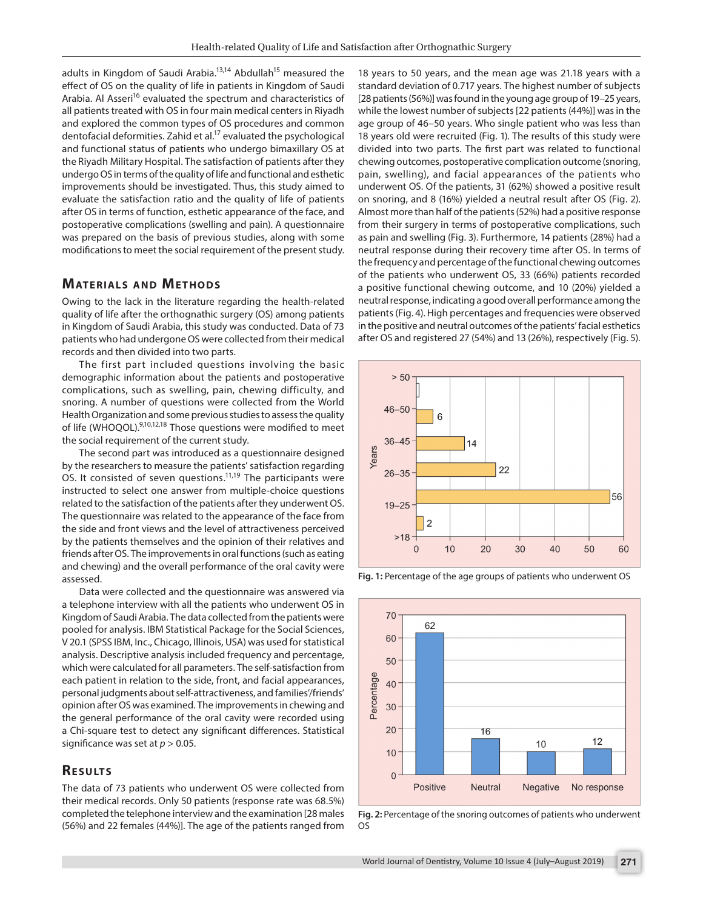adults in Kingdom of Saudi Arabia.<sup>13,14</sup> Abdullah<sup>15</sup> measured the effect of OS on the quality of life in patients in Kingdom of Saudi Arabia. Al Asseri<sup>16</sup> evaluated the spectrum and characteristics of all patients treated with OS in four main medical centers in Riyadh and explored the common types of OS procedures and common dentofacial deformities. Zahid et al.<sup>17</sup> evaluated the psychological and functional status of patients who undergo bimaxillary OS at the Riyadh Military Hospital. The satisfaction of patients after they undergo OS in terms of the quality of life and functional and esthetic improvements should be investigated. Thus, this study aimed to evaluate the satisfaction ratio and the quality of life of patients after OS in terms of function, esthetic appearance of the face, and postoperative complications (swelling and pain). A questionnaire was prepared on the basis of previous studies, along with some modifications to meet the social requirement of the present study.

# **MATERIALS AND METHODS**

Owing to the lack in the literature regarding the health-related quality of life after the orthognathic surgery (OS) among patients in Kingdom of Saudi Arabia, this study was conducted. Data of 73 patients who had undergone OS were collected from their medical records and then divided into two parts.

The first part included questions involving the basic demographic information about the patients and postoperative complications, such as swelling, pain, chewing difficulty, and snoring. A number of questions were collected from the World Health Organization and some previous studies to assess the quality of life (WHOQOL).<sup>9,10,12,18</sup> Those questions were modified to meet the social requirement of the current study.

The second part was introduced as a questionnaire designed by the researchers to measure the patients' satisfaction regarding OS. It consisted of seven questions.11,19 The participants were instructed to select one answer from multiple-choice questions related to the satisfaction of the patients after they underwent OS. The questionnaire was related to the appearance of the face from the side and front views and the level of attractiveness perceived by the patients themselves and the opinion of their relatives and friends after OS. The improvements in oral functions (such as eating and chewing) and the overall performance of the oral cavity were assessed.

Data were collected and the questionnaire was answered via a telephone interview with all the patients who underwent OS in Kingdom of Saudi Arabia. The data collected from the patients were pooled for analysis. IBM Statistical Package for the Social Sciences, V 20.1 (SPSS IBM, Inc., Chicago, Illinois, USA) was used for statistical analysis. Descriptive analysis included frequency and percentage, which were calculated for all parameters. The self-satisfaction from each patient in relation to the side, front, and facial appearances, personal judgments about self-attractiveness, and families'/friends' opinion after OS was examined. The improvements in chewing and the general performance of the oral cavity were recorded using a Chi-square test to detect any significant differences. Statistical significance was set at *p* > 0.05.

# **RESULTS**

The data of 73 patients who underwent OS were collected from their medical records. Only 50 patients (response rate was 68.5%) completed the telephone interview and the examination [28 males (56%) and 22 females (44%)]. The age of the patients ranged from

18 years to 50 years, and the mean age was 21.18 years with a standard deviation of 0.717 years. The highest number of subjects [28 patients (56%)] was found in the young age group of 19–25 years, while the lowest number of subjects [22 patients (44%)] was in the age group of 46–50 years. Who single patient who was less than 18 years old were recruited (Fig. 1). The results of this study were divided into two parts. The first part was related to functional chewing outcomes, postoperative complication outcome (snoring, pain, swelling), and facial appearances of the patients who underwent OS. Of the patients, 31 (62%) showed a positive result on snoring, and 8 (16%) yielded a neutral result after OS (Fig. 2). Almost more than half of the patients (52%) had a positive response from their surgery in terms of postoperative complications, such as pain and swelling (Fig. 3). Furthermore, 14 patients (28%) had a neutral response during their recovery time after OS. In terms of the frequency and percentage of the functional chewing outcomes of the patients who underwent OS, 33 (66%) patients recorded a positive functional chewing outcome, and 10 (20%) yielded a neutral response, indicating a good overall performance among the patients (Fig. 4). High percentages and frequencies were observed in the positive and neutral outcomes of the patients' facial esthetics after OS and registered 27 (54%) and 13 (26%), respectively (Fig. 5).



**Fig. 1:** Percentage of the age groups of patients who underwent OS



**Fig. 2:** Percentage of the snoring outcomes of patients who underwent OS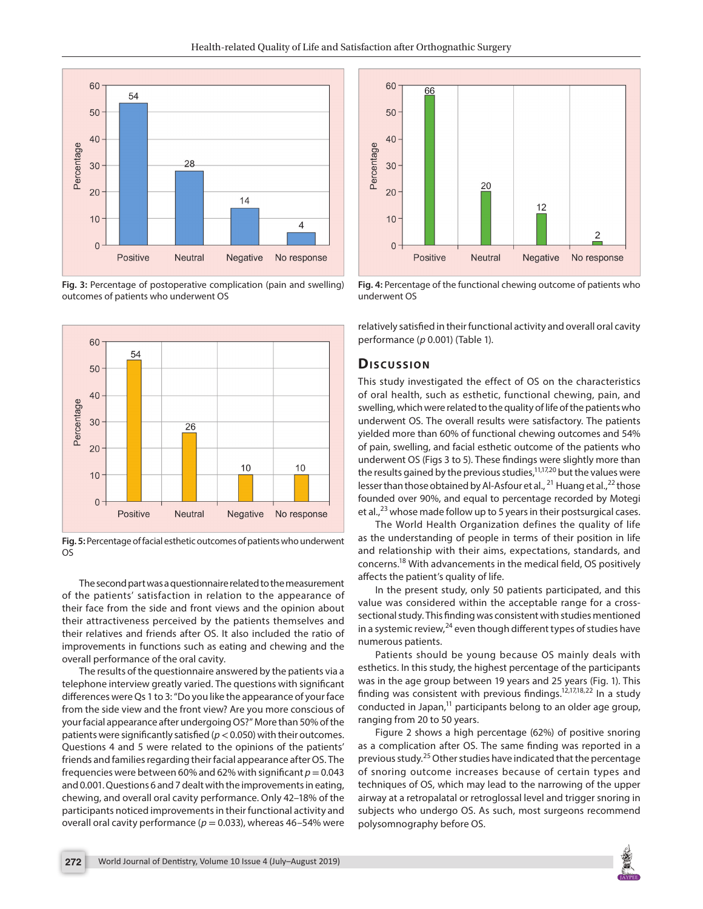

**Fig. 3:** Percentage of postoperative complication (pain and swelling) outcomes of patients who underwent OS



**Fig. 5:** Percentage of facial esthetic outcomes of patients who underwent OS

The second part was a questionnaire related to the measurement of the patients' satisfaction in relation to the appearance of their face from the side and front views and the opinion about their attractiveness perceived by the patients themselves and their relatives and friends after OS. It also included the ratio of improvements in functions such as eating and chewing and the overall performance of the oral cavity.

The results of the questionnaire answered by the patients via a telephone interview greatly varied. The questions with significant differences were Qs 1 to 3: "Do you like the appearance of your face from the side view and the front view? Are you more conscious of your facial appearance after undergoing OS?" More than 50% of the patients were significantly satisfied (*p*< 0.050) with their outcomes. Questions 4 and 5 were related to the opinions of the patients' friends and families regarding their facial appearance after OS. The frequencies were between 60% and 62% with significant  $p = 0.043$ and 0.001. Questions 6 and 7 dealt with the improvements in eating, chewing, and overall oral cavity performance. Only 42–18% of the participants noticed improvements in their functional activity and overall oral cavity performance ( $p = 0.033$ ), whereas 46–54% were



**Fig. 4:** Percentage of the functional chewing outcome of patients who underwent OS

relatively satisfied in their functional activity and overall oral cavity performance (*p* 0.001) (Table 1).

#### **Dis c u s sio n**

This study investigated the effect of OS on the characteristics of oral health, such as esthetic, functional chewing, pain, and swelling, which were related to the quality of life of the patients who underwent OS. The overall results were satisfactory. The patients yielded more than 60% of functional chewing outcomes and 54% of pain, swelling, and facial esthetic outcome of the patients who underwent OS (Figs 3 to 5). These findings were slightly more than the results gained by the previous studies, $11,17,20$  but the values were lesser than those obtained by Al-Asfour et al.,  $^{21}$  Huang et al.,  $^{22}$  those founded over 90%, and equal to percentage recorded by Motegi et al., $^{23}$  whose made follow up to 5 years in their postsurgical cases.

The World Health Organization defines the quality of life as the understanding of people in terms of their position in life and relationship with their aims, expectations, standards, and concerns.18 With advancements in the medical field, OS positively affects the patient's quality of life.

In the present study, only 50 patients participated, and this value was considered within the acceptable range for a crosssectional study. This finding was consistent with studies mentioned in a systemic review, $^{24}$  even though different types of studies have numerous patients.

Patients should be young because OS mainly deals with esthetics. In this study, the highest percentage of the participants was in the age group between 19 years and 25 years (Fig. 1). This finding was consistent with previous findings.<sup>12,17,18,22</sup> In a study conducted in Japan, $<sup>11</sup>$  participants belong to an older age group,</sup> ranging from 20 to 50 years.

Figure 2 shows a high percentage (62%) of positive snoring as a complication after OS. The same finding was reported in a previous study.<sup>25</sup> Other studies have indicated that the percentage of snoring outcome increases because of certain types and techniques of OS, which may lead to the narrowing of the upper airway at a retropalatal or retroglossal level and trigger snoring in subjects who undergo OS. As such, most surgeons recommend polysomnography before OS.

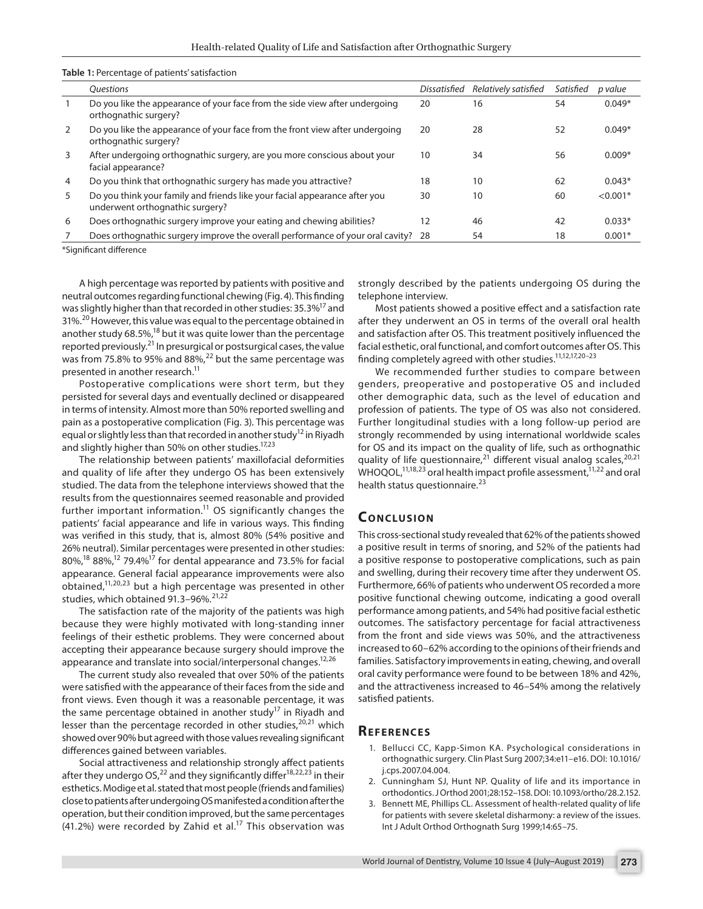| arealiting a or patients satisfaction |                                                                                                               |              |                      |           |            |
|---------------------------------------|---------------------------------------------------------------------------------------------------------------|--------------|----------------------|-----------|------------|
|                                       | <i><u><b>Ouestions</b></u></i>                                                                                | Dissatisfied | Relatively satisfied | Satisfied | p value    |
|                                       | Do you like the appearance of your face from the side view after undergoing<br>orthognathic surgery?          | 20           | 16                   | 54        | $0.049*$   |
| 2                                     | Do you like the appearance of your face from the front view after undergoing<br>orthognathic surgery?         | 20           | 28                   | 52        | $0.049*$   |
| 3                                     | After undergoing orthognathic surgery, are you more conscious about your<br>facial appearance?                | 10           | 34                   | 56        | $0.009*$   |
| $\overline{4}$                        | Do you think that orthognathic surgery has made you attractive?                                               | 18           | 10                   | 62        | $0.043*$   |
| 5                                     | Do you think your family and friends like your facial appearance after you<br>underwent orthognathic surgery? | 30           | 10                   | 60        | $< 0.001*$ |
| 6                                     | Does orthognathic surgery improve your eating and chewing abilities?                                          | 12           | 46                   | 42        | $0.033*$   |
|                                       | Does orthognathic surgery improve the overall performance of your oral cavity? 28                             |              | 54                   | 18        | $0.001*$   |
| *Claudification of the same as        |                                                                                                               |              |                      |           |            |

**Table 1:** Percentage of patients' satisfaction

Significant difference

A high percentage was reported by patients with positive and neutral outcomes regarding functional chewing (Fig. 4). This finding was slightly higher than that recorded in other studies: 35.3%<sup>17</sup> and 31%.20 However, this value was equal to the percentage obtained in another study 68.5%,<sup>18</sup> but it was quite lower than the percentage reported previously.<sup>21</sup> In presurgical or postsurgical cases, the value was from 75.8% to 95% and 88%,<sup>22</sup> but the same percentage was presented in another research.<sup>11</sup>

Postoperative complications were short term, but they persisted for several days and eventually declined or disappeared in terms of intensity. Almost more than 50% reported swelling and pain as a postoperative complication (Fig. 3). This percentage was equal or slightly less than that recorded in another study<sup>12</sup> in Riyadh and slightly higher than 50% on other studies.<sup>17,23</sup>

The relationship between patients' maxillofacial deformities and quality of life after they undergo OS has been extensively studied. The data from the telephone interviews showed that the results from the questionnaires seemed reasonable and provided further important information. $11$  OS significantly changes the patients' facial appearance and life in various ways. This finding was verified in this study, that is, almost 80% (54% positive and 26% neutral). Similar percentages were presented in other studies: 80%,<sup>18</sup> 88%,<sup>12</sup> 79.4%<sup>17</sup> for dental appearance and 73.5% for facial appearance. General facial appearance improvements were also obtained, $11,20,23$  but a high percentage was presented in other studies, which obtained  $91.3-96\%$ .  $21.22$ 

The satisfaction rate of the majority of the patients was high because they were highly motivated with long-standing inner feelings of their esthetic problems. They were concerned about accepting their appearance because surgery should improve the appearance and translate into social/interpersonal changes.<sup>12,26</sup>

The current study also revealed that over 50% of the patients were satisfied with the appearance of their faces from the side and front views. Even though it was a reasonable percentage, it was the same percentage obtained in another study<sup>17</sup> in Riyadh and lesser than the percentage recorded in other studies,<sup>20,21</sup> which showed over 90% but agreed with those values revealing significant differences gained between variables.

Social attractiveness and relationship strongly affect patients after they undergo OS,<sup>22</sup> and they significantly differ<sup>18,22,23</sup> in their esthetics. Modige et al. stated that most people (friends and families) close to patients after undergoing OS manifested a condition after the operation, but their condition improved, but the same percentages (41.2%) were recorded by Zahid et al.<sup>17</sup> This observation was strongly described by the patients undergoing OS during the telephone interview.

Most patients showed a positive effect and a satisfaction rate after they underwent an OS in terms of the overall oral health and satisfaction after OS. This treatment positively influenced the facial esthetic, oral functional, and comfort outcomes after OS. This finding completely agreed with other studies.11,12,17,20–23

We recommended further studies to compare between genders, preoperative and postoperative OS and included other demographic data, such as the level of education and profession of patients. The type of OS was also not considered. Further longitudinal studies with a long follow-up period are strongly recommended by using international worldwide scales for OS and its impact on the quality of life, such as orthognathic quality of life questionnaire,<sup>21</sup> different visual analog scales,<sup>20,21</sup> WHOQOL,<sup>11,18,23</sup> oral health impact profile assessment,  $11,22$  and oral health status questionnaire.<sup>23</sup>

## **CONCLUSION**

This cross-sectional study revealed that 62% of the patients showed a positive result in terms of snoring, and 52% of the patients had a positive response to postoperative complications, such as pain and swelling, during their recovery time after they underwent OS. Furthermore, 66% of patients who underwent OS recorded a more positive functional chewing outcome, indicating a good overall performance among patients, and 54% had positive facial esthetic outcomes. The satisfactory percentage for facial attractiveness from the front and side views was 50%, and the attractiveness increased to 60–62% according to the opinions of their friends and families. Satisfactory improvements in eating, chewing, and overall oral cavity performance were found to be between 18% and 42%, and the attractiveness increased to 46–54% among the relatively satisfied patients.

#### **Re f e r e n c e s**

- 1. Bellucci CC, Kapp-Simon KA. Psychological considerations in orthognathic surgery. Clin Plast Surg 2007;34:e11–e16. DOI: 10.1016/ j.cps.2007.04.004.
- 2. Cunningham SJ, Hunt NP. Quality of life and its importance in orthodontics. J Orthod 2001;28:152–158. DOI: 10.1093/ortho/28.2.152.
- Bennett ME, Phillips CL. Assessment of health-related quality of life for patients with severe skeletal disharmony: a review of the issues. Int J Adult Orthod Orthognath Surg 1999;14:65–75.